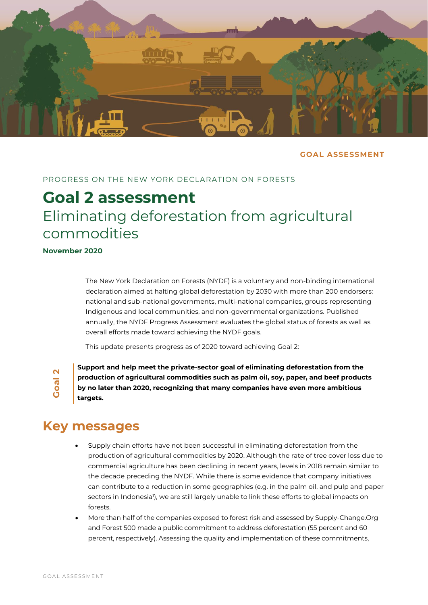

## **GOAL ASSESSMENT**

# PROGRESS ON THE NEW YORK DECLARATION ON FORESTS

# **Goal 2 assessment** Eliminating deforestation from agricultural commodities

**November 2020**

The New York Declaration on Forests (NYDF) is a voluntary and non-binding international declaration aimed at halting global deforestation by 2030 with more than 200 endorsers: national and sub-national governments, multi-national companies, groups representing Indigenous and local communities, and non-governmental organizations. Published annually, the NYDF Progress Assessment evaluates the global status of forests as well as overall efforts made toward achieving the NYDF goals.

This update presents progress as of 2020 toward achieving Goal 2:

**Goal 2**

**Support and help meet the private-sector goal of eliminating deforestation from the production of agricultural commodities such as palm oil, soy, paper, and beef products by no later than 2020, recognizing that many companies have even more ambitious targets.**

# **Key messages**

- Supply chain efforts have not been successful in eliminating deforestation from the production of agricultural commodities by 2020. Although the rate of tree cover loss due to commercial agriculture has been declining in recent years, levels in 2018 remain similar to the decade preceding the NYDF. While there is some evidence that company initiatives can contribute to a reduction in some geographies (e.g. in the palm oil, and pulp and paper sectors in Indonesia'), we are still largely unable to link these efforts to global impacts on forests.
- More than half of the companies exposed to forest risk and assessed by Supply-Change.Org and Forest 500 made a public commitment to address deforestation (55 percent and 60 percent, respectively). Assessing the quality and implementation of these commitments,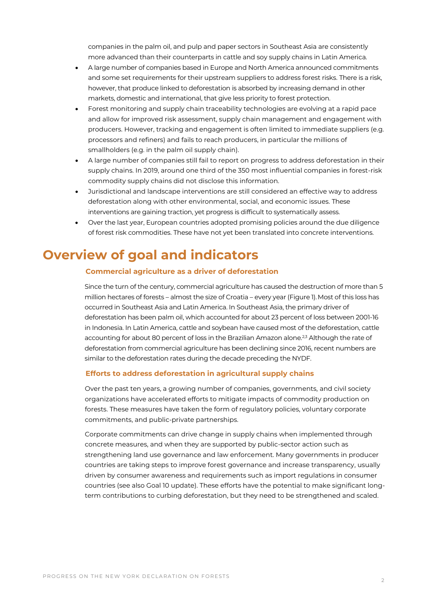companies in the palm oil, and pulp and paper sectors in Southeast Asia are consistently more advanced than their counterparts in cattle and soy supply chains in Latin America.

- A large number of companies based in Europe and North America announced commitments and some set requirements for their upstream suppliers to address forest risks. There is a risk, however, that produce linked to deforestation is absorbed by increasing demand in other markets, domestic and international, that give less priority to forest protection.
- Forest monitoring and supply chain traceability technologies are evolving at a rapid pace and allow for improved risk assessment, supply chain management and engagement with producers. However, tracking and engagement is often limited to immediate suppliers (e.g. processors and refiners) and fails to reach producers, in particular the millions of smallholders (e.g. in the palm oil supply chain).
- A large number of companies still fail to report on progress to address deforestation in their supply chains. In 2019, around one third of the 350 most influential companies in forest-risk commodity supply chains did not disclose this information.
- Jurisdictional and landscape interventions are still considered an effective way to address deforestation along with other environmental, social, and economic issues. These interventions are gaining traction, yet progress is difficult to systematically assess.
- Over the last year, European countries adopted promising policies around the due diligence of forest risk commodities. These have not yet been translated into concrete interventions.

# **Overview of goal and indicators**

# **Commercial agriculture as a driver of deforestation**

Since the turn of the century, commercial agriculture has caused the destruction of more than 5 million hectares of forests – almost the size of Croatia – every year (Figure 1).Most of this loss has occurred in Southeast Asia and Latin America. In Southeast Asia, the primary driver of deforestation has been palm oil, which accounted for about 23 percent of loss between 2001-16 in Indonesia. In Latin America, cattle and soybean have caused most of the deforestation, cattle accounting for about 80 percent of loss in the Brazilian Amazon alone.<sup>2,3</sup> Although the rate of deforestation from commercial agriculture has been declining since 2016, recent numbers are similar to the deforestation rates during the decade preceding the NYDF.

## **Efforts to address deforestation in agricultural supply chains**

Over the past ten years, a growing number of companies, governments, and civil society organizations have accelerated efforts to mitigate impacts of commodity production on forests. These measures have taken the form of regulatory policies, voluntary corporate commitments, and public-private partnerships.

Corporate commitments can drive change in supply chains when implemented through concrete measures, and when they are supported by public-sector action such as strengthening land use governance and law enforcement. Many governments in producer countries are taking steps to improve forest governance and increase transparency, usually driven by consumer awareness and requirements such as import regulations in consumer countries (see also Goal 10 update). These efforts have the potential to make significant longterm contributions to curbing deforestation, but they need to be strengthened and scaled.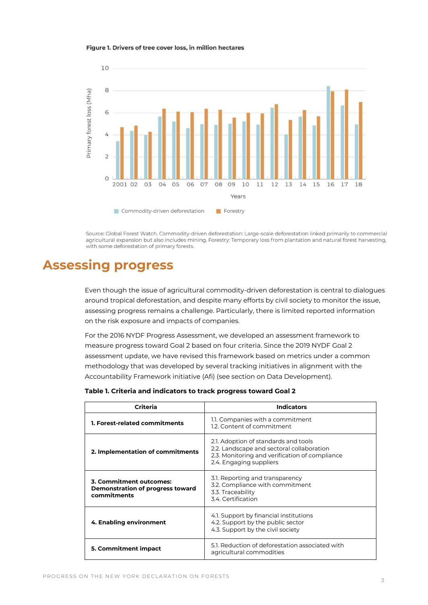#### Figure 1. Drivers of tree cover loss, in million hectares



Source: Global Forest Watch. Commodity-driven deforestation: Large-scale deforestation linked primarily to commercial agricultural expansion but also includes mining. Forestry: Temporary loss from plantation and natural forest harvesting, with some deforestation of primary forests.

# **Assessing progress**

Even though the issue of agricultural commodity-driven deforestation is central to dialogues around tropical deforestation, and despite many efforts by civil society to monitor the issue, assessing progress remains a challenge. Particularly, there is limited reported information on the risk exposure and impacts of companies.

For the 2016 NYDF Progress Assessment, we developed an assessment framework to measure progress toward Goal 2 based on four criteria. Since the 2019 NYDF Goal 2 assessment update, we have revised this framework based on metrics under a common methodology that was developed by several tracking initiatives in alignment with the Accountability Framework initiative (Afi) (see section on Data Development).

| Criteria                                                                   | <b>Indicators</b>                                                                                                                                              |
|----------------------------------------------------------------------------|----------------------------------------------------------------------------------------------------------------------------------------------------------------|
| <b>1. Forest-related commitments</b>                                       | 1.1. Companies with a commitment<br>1.2. Content of commitment                                                                                                 |
| 2. Implementation of commitments                                           | 2.1. Adoption of standards and tools<br>2.2. Landscape and sectoral collaboration<br>2.3. Monitoring and verification of compliance<br>2.4. Engaging suppliers |
| 3. Commitment outcomes:<br>Demonstration of progress toward<br>commitments | 3.1. Reporting and transparency<br>3.2. Compliance with commitment<br>3.3. Traceability<br>3.4 Certification                                                   |
| 4. Enabling environment                                                    | 4.1. Support by financial institutions<br>4.2. Support by the public sector<br>4.3. Support by the civil society                                               |
| 5. Commitment impact                                                       | 5.1. Reduction of deforestation associated with<br>agricultural commodities                                                                                    |

**Table 1. Criteria and indicators to track progress toward Goal 2**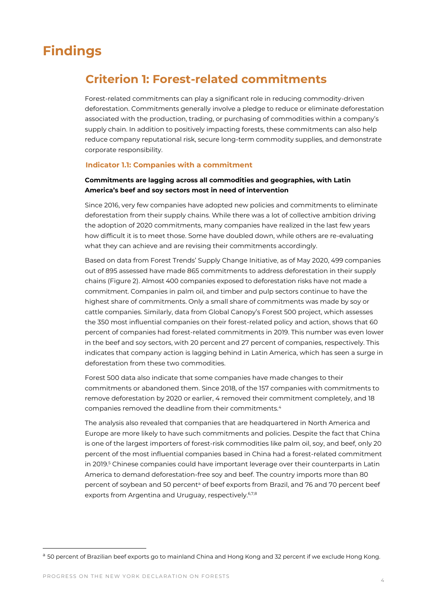# **Findings**

# **Criterion 1: Forest-related commitments**

Forest-related commitments can play a significant role in reducing commodity-driven deforestation. Commitments generally involve a pledge to reduce or eliminate deforestation associated with the production, trading, or purchasing of commodities within a company's supply chain. In addition to positively impacting forests, these commitments can also help reduce company reputational risk, secure long-term commodity supplies, and demonstrate corporate responsibility.

#### **Indicator 1.1: Companies with a commitment**

# **Commitments are lagging across all commodities and geographies, with Latin America's beef and soy sectors most in need of intervention**

Since 2016, very few companies have adopted new policies and commitments to eliminate deforestation from their supply chains. While there was a lot of collective ambition driving the adoption of 2020 commitments, many companies have realized in the last few years how difficult it is to meet those. Some have doubled down, while others are re-evaluating what they can achieve and are revising their commitments accordingly.

Based on data from Forest Trends' Supply Change Initiative, as of May 2020, 499 companies out of 895 assessed have made 865 commitments to address deforestation in their supply chains (Figure 2). Almost 400 companies exposed to deforestation risks have not made a commitment. Companies in palm oil, and timber and pulp sectors continue to have the highest share of commitments. Only a small share of commitments was made by soy or cattle companies. Similarly, data from Global Canopy's Forest 500 project, which assesses the 350 most influential companies on their forest-related policy and action, shows that 60 percent of companies had forest-related commitments in 2019. This number was even lower in the beef and soy sectors, with 20 percent and 27 percent of companies, respectively. This indicates that company action is lagging behind in Latin America, which has seen a surge in deforestation from these two commodities.

Forest 500 data also indicate that some companies have made changes to their commitments or abandoned them. Since 2018, of the 157 companies with commitments to remove deforestation by 2020 or earlier, 4 removed their commitment completely, and 18 companies removed the deadline from their commitments.<sup>4</sup>

The analysis also revealed that companies that are headquartered in North America and Europe are more likely to have such commitments and policies. Despite the fact that China is one of the largest importers of forest-risk commodities like palm oil, soy, and beef, only 20 percent of the most influential companies based in China had a forest-related commitment in 2019.<sup>5</sup> Chinese companies could have important leverage over their counterparts in Latin America to demand deforestation-free soy and beef. The country imports more than 80 percent of soybean and 50 percent<sup>a</sup> of beef exports from Brazil, and 76 and 70 percent beef exports from Argentina and Uruguay, respectively.<sup>6,7,8</sup>

<sup>&</sup>lt;sup>a</sup> 50 percent of Brazilian beef exports go to mainland China and Hong Kong and 32 percent if we exclude Hong Kong.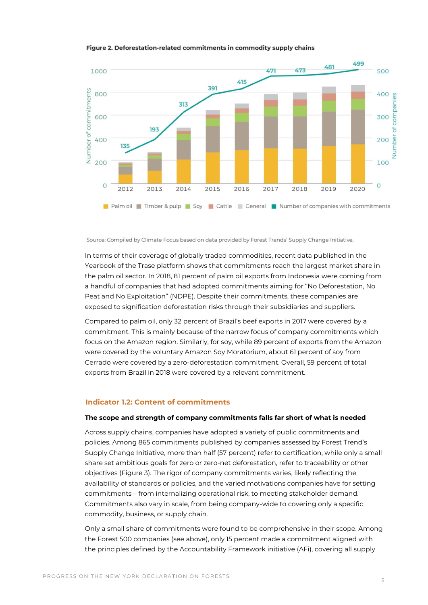#### Figure 2. Deforestation-related commitments in commodity supply chains



Source: Compiled by Climate Focus based on data provided by Forest Trends' Supply Change Initiative.

In terms of their coverage of globally traded commodities, recent data published in the Yearbook of the Trase platform shows that commitments reach the largest market share in the palm oil sector. In 2018, 81 percent of palm oil exports from Indonesia were coming from a handful of companies that had adopted commitments aiming for "No Deforestation, No Peat and No Exploitation" (NDPE). Despite their commitments, these companies are exposed to signification deforestation risks through their subsidiaries and suppliers.

Compared to palm oil, only 32 percent of Brazil's beef exports in 2017 were covered by a commitment. This is mainly because of the narrow focus of company commitments which focus on the Amazon region. Similarly, for soy, while 89 percent of exports from the Amazon were covered by the voluntary Amazon Soy Moratorium, about 61 percent of soy from Cerrado were covered by a zero-deforestation commitment. Overall, 59 percent of total exports from Brazil in 2018 were covered by a relevant commitment.

## **Indicator 1.2: Content of commitments**

#### **The scope and strength of company commitments falls far short of what is needed**

Across supply chains, companies have adopted a variety of public commitments and policies. Among 865 commitments published by companies assessed by Forest Trend's Supply Change Initiative, more than half (57 percent) refer to certification, while only a small share set ambitious goals for zero or zero-net deforestation, refer to traceability or other objectives (Figure 3). The rigor of company commitments varies, likely reflecting the availability of standards or policies, and the varied motivations companies have for setting commitments – from internalizing operational risk, to meeting stakeholder demand. Commitments also vary in scale, from being company-wide to covering only a specific commodity, business, or supply chain.

Only a small share of commitments were found to be comprehensive in their scope. Among the Forest 500 companies (see above), only 15 percent made a commitment aligned with the principles defined by the Accountability Framework initiative (AFi), covering all supply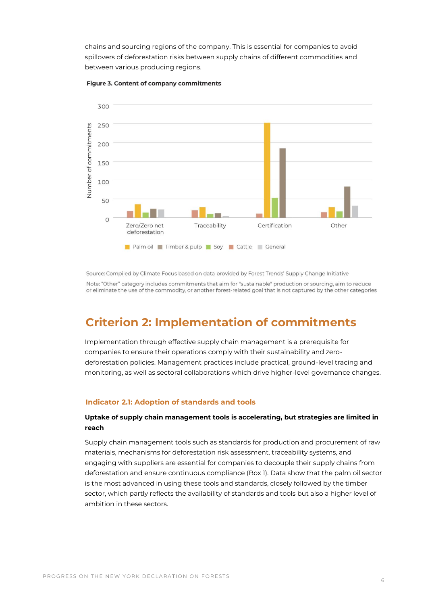chains and sourcing regions of the company. This is essential for companies to avoid spillovers of deforestation risks between supply chains of different commodities and between various producing regions.



#### Figure 3. Content of company commitments

Source: Compiled by Climate Focus based on data provided by Forest Trends' Supply Change Initiative

Note: "Other" category includes commitments that aim for "sustainable" production or sourcing, aim to reduce or eliminate the use of the commodity, or another forest-related goal that is not captured by the other categories

# **Criterion 2: Implementation of commitments**

Implementation through effective supply chain management is a prerequisite for companies to ensure their operations comply with their sustainability and zerodeforestation policies. Management practices include practical, ground-level tracing and monitoring, as well as sectoral collaborations which drive higher-level governance changes.

# **Indicator 2.1: Adoption of standards and tools**

# **Uptake of supply chain management tools is accelerating, but strategies are limited in reach**

Supply chain management tools such as standards for production and procurement of raw materials, mechanisms for deforestation risk assessment, traceability systems, and engaging with suppliers are essential for companies to decouple their supply chains from deforestation and ensure continuous compliance (Box 1). Data show that the palm oil sector is the most advanced in using these tools and standards, closely followed by the timber sector, which partly reflects the availability of standards and tools but also a higher level of ambition in these sectors.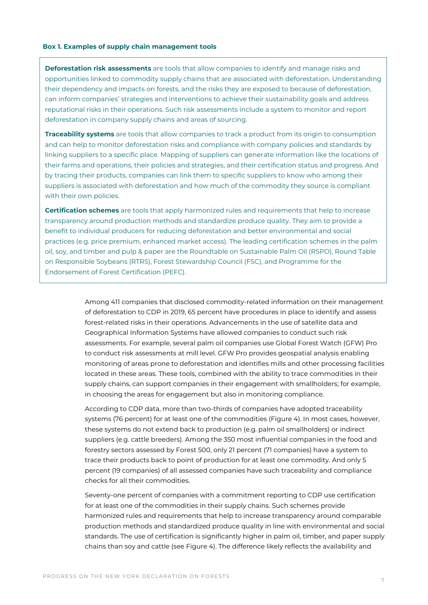#### **Box 1. Examples of supply chain management tools**

**Deforestation risk assessments** are tools that allow companies to identify and manage risks and opportunities linked to commodity supply chains that are associated with deforestation. Understanding their dependency and impacts on forests, and the risks they are exposed to because of deforestation, can inform companies' strategies and interventions to achieve their sustainability goals and address reputational risks in their operations. Such risk assessments include a system to monitor and report deforestation in company supply chains and areas of sourcing.

**Traceability systems** are tools that allow companies to track a product from its origin to consumption and can help to monitor deforestation risks and compliance with company policies and standards by linking suppliers to a specific place. Mapping of suppliers can generate information like the locations of their farms and operations, their policies and strategies, and their certification status and progress. And by tracing their products, companies can link them to specific suppliers to know who among their suppliers is associated with deforestation and how much of the commodity they source is compliant with their own policies.

**Certification schemes** are tools that apply harmonized rules and requirements that help to increase transparency around production methods and standardize produce quality. They aim to provide a benefit to individual producers for reducing deforestation and better environmental and social practices (e.g. price premium, enhanced market access). The leading certification schemes in the palm oil, soy, and timber and pulp & paper are the Roundtable on Sustainable Palm Oil (RSPO), Round Table on Responsible Soybeans (RTRS), Forest Stewardship Council (FSC), and Programme for the Endorsement of Forest Certification (PEFC).

> Among 411 companies that disclosed commodity-related information on their management of deforestation to CDP in 2019, 65 percent have procedures in place to identify and assess forest-related risks in their operations. Advancements in the use of satellite data and Geographical Information Systems have allowed companies to conduct such risk assessments. For example, several palm oil companies use Global Forest Watch (GFW) Pro to conduct risk assessments at mill level. GFW Pro provides geospatial analysis enabling monitoring of areas prone to deforestation and identifies mills and other processing facilities located in these areas. These tools, combined with the ability to trace commodities in their supply chains, can support companies in their engagement with smallholders; for example, in choosing the areas for engagement but also in monitoring compliance.

According to CDP data, more than two-thirds of companies have adopted traceability systems (76 percent) for at least one of the commodities (Figure 4). In most cases, however, these systems do not extend back to production (e.g. palm oil smallholders) or indirect suppliers (e.g. cattle breeders). Among the 350 most influential companies in the food and forestry sectors assessed by Forest 500, only 21 percent (71 companies) have a system to trace their products back to point of production for at least one commodity. And only 5 percent (19 companies) of all assessed companies have such traceability and compliance checks for all their commodities.

Seventy-one percent of companies with a commitment reporting to CDP use certification for at least one of the commodities in their supply chains. Such schemes provide harmonized rules and requirements that help to increase transparency around comparable production methods and standardized produce quality in line with environmental and social standards. The use of certification is significantly higher in palm oil, timber, and paper supply chains than soy and cattle (see Figure 4). The difference likely reflects the availability and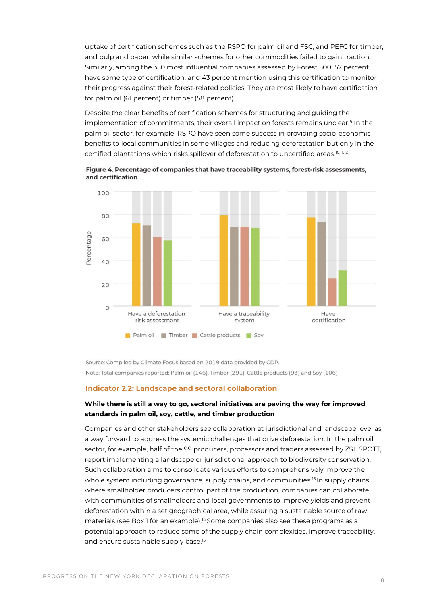uptake of certification schemes such as the RSPO for palm oil and FSC, and PEFC for timber, and pulp and paper, while similar schemes for other commodities failed to gain traction. Similarly, among the 350 most influential companies assessed by Forest 500, 57 percent have some type of certification, and 43 percent mention using this certification to monitor their progress against their forest-related policies. They are most likely to have certification for palm oil (61 percent) or timber (58 percent).

Despite the clear benefits of certification schemes for structuring and guiding the implementation of commitments, their overall impact on forests remains unclear.<sup>9</sup> In the palm oil sector, for example, RSPO have seen some success in providing socio-economic benefits to local communities in some villages and reducing deforestation but only in the certified plantations which risks spillover of deforestation to uncertified areas. 10,11,12

Figure 4. Percentage of companies that have traceability systems, forest-risk assessments, and certification



Source: Compiled by Climate Focus based on 2019 data provided by CDP. Note: Total companies reported: Palm oil (146), Timber (291), Cattle products (93) and Soy (106)

## **Indicator 2.2: Landscape and sectoral collaboration**

# **While there is still a way to go, sectoral initiatives are paving the way for improved standards in palm oil, soy, cattle, and timber production**

Companies and other stakeholders see collaboration at jurisdictional and landscape level as a way forward to address the systemic challenges that drive deforestation. In the palm oil sector, for example, half of the 99 producers, processors and traders assessed by ZSL SPOTT, report implementing a landscape or jurisdictional approach to biodiversity conservation. Such collaboration aims to consolidate various efforts to comprehensively improve the whole system including governance, supply chains, and communities.<sup>13</sup> In supply chains where smallholder producers control part of the production, companies can collaborate with communities of smallholders and local governments to improve yields and prevent deforestation within a set geographical area, while assuring a sustainable source of raw materials (see Box 1 for an example).<sup>14</sup> Some companies also see these programs as a potential approach to reduce some of the supply chain complexities, improve traceability, and ensure sustainable supply base.<sup>15</sup>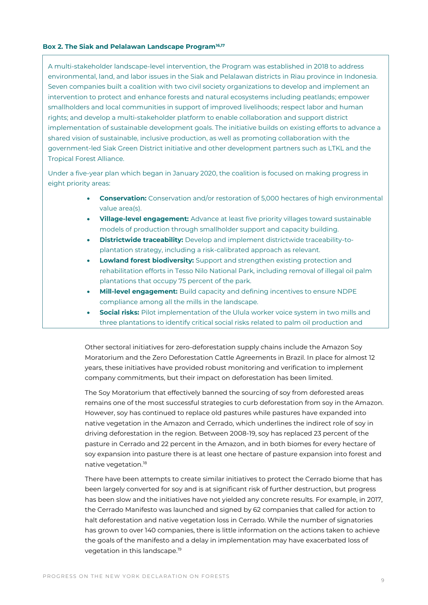#### **Box 2. The Siak and Pelalawan Landscape Program16,17**

A multi-stakeholder landscape-level intervention, the Program was established in 2018 to address environmental, land, and labor issues in the Siak and Pelalawan districts in Riau province in Indonesia. Seven companies built a coalition with two civil society organizations to develop and implement an intervention to protect and enhance forests and natural ecosystems including peatlands; empower smallholders and local communities in support of improved livelihoods; respect labor and human rights; and develop a multi-stakeholder platform to enable collaboration and support district implementation of sustainable development goals. The initiative builds on existing efforts to advance a shared vision of sustainable, inclusive production, as well as promoting collaboration with the government-led Siak Green District initiative and other development partners such as LTKL and the Tropical Forest Alliance.

Under a five-year plan which began in January 2020, the coalition is focused on making progress in eight priority areas:

- **Conservation:** Conservation and/or restoration of 5,000 hectares of high environmental value area(s).
- **Village-level engagement:** Advance at least five priority villages toward sustainable models of production through smallholder support and capacity building.
- **Districtwide traceability:** Develop and implement districtwide traceability-toplantation strategy, including a risk-calibrated approach as relevant.
- **Lowland forest biodiversity:** Support and strengthen existing protection and rehabilitation efforts in Tesso Nilo National Park, including removal of illegal oil palm plantations that occupy 75 percent of the park.
- **Mill-level engagement:** Build capacity and defining incentives to ensure NDPE compliance among all the mills in the landscape.
- **Social risks:** Pilot implementation of the Ulula worker voice system in two mills and three plantations to identify critical social risks related to palm oil production and

Other sectoral initiatives for zero-deforestation supply chains include the Amazon Soy Moratorium and the Zero Deforestation Cattle Agreements in Brazil. In place for almost 12 years, these initiatives have provided robust monitoring and verification to implement company commitments, but their impact on deforestation has been limited.

The Soy Moratorium that effectively banned the sourcing of soy from deforested areas remains one of the most successful strategies to curb deforestation from soy in the Amazon. However, soy has continued to replace old pastures while pastures have expanded into native vegetation in the Amazon and Cerrado, which underlines the indirect role of soy in driving deforestation in the region. Between 2008-19, soy has replaced 23 percent of the pasture in Cerrado and 22 percent in the Amazon, and in both biomes for every hectare of soy expansion into pasture there is at least one hectare of pasture expansion into forest and native vegetation.<sup>18</sup>

There have been attempts to create similar initiatives to protect the Cerrado biome that has been largely converted for soy and is at significant risk of further destruction, but progress has been slow and the initiatives have not yielded any concrete results. For example, in 2017, the Cerrado Manifesto was launched and signed by 62 companies that called for action to halt deforestation and native vegetation loss in Cerrado. While the number of signatories has grown to over 140 companies, there is little information on the actions taken to achieve the goals of the manifesto and a delay in implementation may have exacerbated loss of vegetation in this landscape.<sup>19</sup>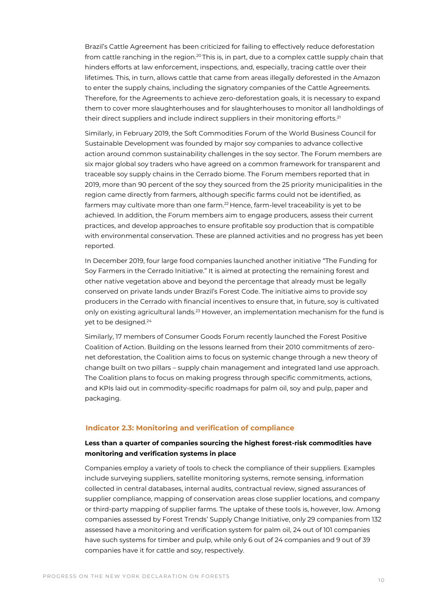Brazil's Cattle Agreement has been criticized for failing to effectively reduce deforestation from cattle ranching in the region.<sup>20</sup> This is, in part, due to a complex cattle supply chain that hinders efforts at law enforcement, inspections, and, especially, tracing cattle over their lifetimes. This, in turn, allows cattle that came from areas illegally deforested in the Amazon to enter the supply chains, including the signatory companies of the Cattle Agreements. Therefore, for the Agreements to achieve zero-deforestation goals, it is necessary to expand them to cover more slaughterhouses and for slaughterhouses to monitor all landholdings of their direct suppliers and include indirect suppliers in their monitoring efforts.<sup>21</sup>

Similarly, in February 2019, the Soft Commodities Forum of the World Business Council for Sustainable Development was founded by major soy companies to advance collective action around common sustainability challenges in the soy sector. The Forum members are six major global soy traders who have agreed on a common framework for transparent and traceable soy supply chains in the Cerrado biome. The Forum members reported that in 2019, more than 90 percent of the soy they sourced from the 25 priority municipalities in the region came directly from farmers, although specific farms could not be identified, as farmers may cultivate more than one farm.<sup>22</sup> Hence, farm-level traceability is yet to be achieved. In addition, the Forum members aim to engage producers, assess their current practices, and develop approaches to ensure profitable soy production that is compatible with environmental conservation. These are planned activities and no progress has yet been reported.

In December 2019, four large food companies launched another initiative "The Funding for Soy Farmers in the Cerrado Initiative." It is aimed at protecting the remaining forest and other native vegetation above and beyond the percentage that already must be legally conserved on private lands under Brazil's Forest Code. The initiative aims to provide soy producers in the Cerrado with financial incentives to ensure that, in future, soy is cultivated only on existing agricultural lands.<sup>23</sup> However, an implementation mechanism for the fund is yet to be designed.<sup>24</sup>

Similarly, 17 members of Consumer Goods Forum recently launched the Forest Positive Coalition of Action. Building on the lessons learned from their 2010 commitments of zeronet deforestation, the Coalition aims to focus on systemic change through a new theory of change built on two pillars – supply chain management and integrated land use approach. The Coalition plans to focus on making progress through specific commitments, actions, and KPIs laid out in commodity-specific roadmaps for palm oil, soy and pulp, paper and packaging.

## **Indicator 2.3: Monitoring and verification of compliance**

# **Less than a quarter of companies sourcing the highest forest-risk commodities have monitoring and verification systems in place**

Companies employ a variety of tools to check the compliance of their suppliers. Examples include surveying suppliers, satellite monitoring systems, remote sensing, information collected in central databases, internal audits, contractual review, signed assurances of supplier compliance, mapping of conservation areas close supplier locations, and company or third-party mapping of supplier farms. The uptake of these tools is, however, low. Among companies assessed by Forest Trends' Supply Change Initiative, only 29 companies from 132 assessed have a monitoring and verification system for palm oil, 24 out of 101 companies have such systems for timber and pulp, while only 6 out of 24 companies and 9 out of 39 companies have it for cattle and soy, respectively.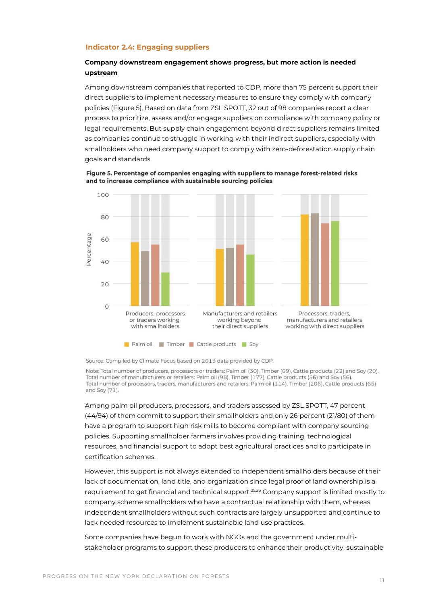#### **Indicator 2.4: Engaging suppliers**

# **Company downstream engagement shows progress, but more action is needed upstream**

Among downstream companies that reported to CDP, more than 75 percent support their direct suppliers to implement necessary measures to ensure they comply with company policies (Figure 5). Based on data from ZSL SPOTT, 32 out of 98 companies report a clear process to prioritize, assess and/or engage suppliers on compliance with company policy or legal requirements. But supply chain engagement beyond direct suppliers remains limited as companies continue to struggle in working with their indirect suppliers, especially with smallholders who need company support to comply with zero-deforestation supply chain goals and standards.

Figure 5. Percentage of companies engaging with suppliers to manage forest-related risks and to increase compliance with sustainable sourcing policies



Source: Compiled by Climate Focus based on 2019 data provided by CDP.

Note: Total number of producers, processors or traders: Palm oil (30), Timber (69), Cattle products (22) and Soy (20). Total number of manufacturers or retailers: Palm oil (98), Timber (177), Cattle products (56) and Soy (56). Total number of processors, traders, manufacturers and retailers: Palm oil (114), Timber (206), Cattle products (65) and Soy (71).

Among palm oil producers, processors, and traders assessed by ZSL SPOTT, 47 percent (44/94) of them commit to support their smallholders and only 26 percent (21/80) of them have a program to support high risk mills to become compliant with company sourcing policies. Supporting smallholder farmers involves providing training, technological resources, and financial support to adopt best agricultural practices and to participate in certification schemes.

However, this support is not always extended to independent smallholders because of their lack of documentation, land title, and organization since legal proof of land ownership is a requirement to get financial and technical support.<sup>25,26</sup> Company support is limited mostly to company scheme smallholders who have a contractual relationship with them, whereas independent smallholders without such contracts are largely unsupported and continue to lack needed resources to implement sustainable land use practices.

Some companies have begun to work with NGOs and the government under multistakeholder programs to support these producers to enhance their productivity, sustainable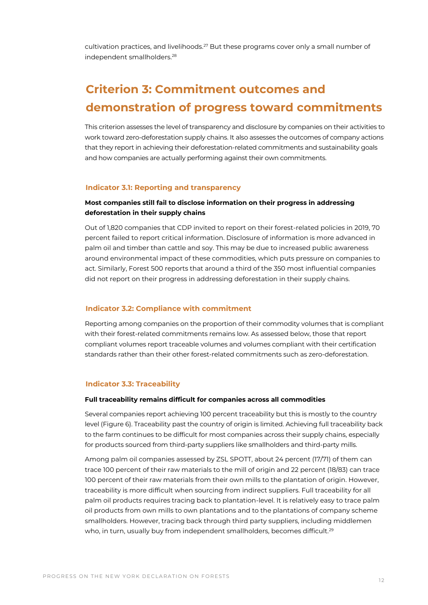cultivation practices, and livelihoods.<sup>27</sup> But these programs cover only a small number of independent smallholders.<sup>28</sup>

# **Criterion 3: Commitment outcomes and demonstration of progress toward commitments**

This criterion assesses the level of transparency and disclosure by companies on their activities to work toward zero-deforestation supply chains. It also assesses the outcomes of company actions that they report in achieving their deforestation-related commitments and sustainability goals and how companies are actually performing against their own commitments.

#### **Indicator 3.1: Reporting and transparency**

# **Most companies still fail to disclose information on their progress in addressing deforestation in their supply chains**

Out of 1,820 companies that CDP invited to report on their forest-related policies in 2019, 70 percent failed to report critical information. Disclosure of information is more advanced in palm oil and timber than cattle and soy. This may be due to increased public awareness around environmental impact of these commodities, which puts pressure on companies to act. Similarly, Forest 500 reports that around a third of the 350 most influential companies did not report on their progress in addressing deforestation in their supply chains.

#### **Indicator 3.2: Compliance with commitment**

Reporting among companies on the proportion of their commodity volumes that is compliant with their forest-related commitments remains low. As assessed below, those that report compliant volumes report traceable volumes and volumes compliant with their certification standards rather than their other forest-related commitments such as zero-deforestation.

#### **Indicator 3.3: Traceability**

#### **Full traceability remains difficult for companies across all commodities**

Several companies report achieving 100 percent traceability but this is mostly to the country level (Figure 6). Traceability past the country of origin is limited. Achieving full traceability back to the farm continues to be difficult for most companies across their supply chains, especially for products sourced from third-party suppliers like smallholders and third-party mills.

Among palm oil companies assessed by ZSL SPOTT, about 24 percent (17/71) of them can trace 100 percent of their raw materials to the mill of origin and 22 percent (18/83) can trace 100 percent of their raw materials from their own mills to the plantation of origin. However, traceability is more difficult when sourcing from indirect suppliers. Full traceability for all palm oil products requires tracing back to plantation-level. It is relatively easy to trace palm oil products from own mills to own plantations and to the plantations of company scheme smallholders. However, tracing back through third party suppliers, including middlemen who, in turn, usually buy from independent smallholders, becomes difficult.<sup>29</sup>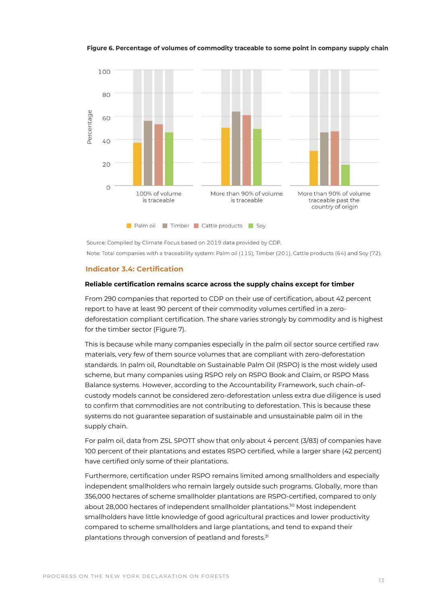#### Figure 6. Percentage of volumes of commodity traceable to some point in company supply chain



Source: Compiled by Climate Focus based on 2019 data provided by CDP. Note: Total companies with a traceability system: Palm oil (115), Timber (201), Cattle products (64) and Soy (72).

#### **Indicator 3.4: Certification**

#### **Reliable certification remains scarce across the supply chains except for timber**

From 290 companies that reported to CDP on their use of certification, about 42 percent report to have at least 90 percent of their commodity volumes certified in a zerodeforestation compliant certification. The share varies strongly by commodity and is highest for the timber sector (Figure 7).

This is because while many companies especially in the palm oil sector source certified raw materials, very few of them source volumes that are compliant with zero-deforestation standards. In palm oil, Roundtable on Sustainable Palm Oil (RSPO) is the most widely used scheme, but many companies using RSPO rely on RSPO Book and Claim, or RSPO Mass Balance systems. However, according to the Accountability Framework, such chain-ofcustody models cannot be considered zero-deforestation unless extra due diligence is used to confirm that commodities are not contributing to deforestation. This is because these systems do not guarantee separation of sustainable and unsustainable palm oil in the supply chain.

For palm oil, data from ZSL SPOTT show that only about 4 percent (3/83) of companies have 100 percent of their plantations and estates RSPO certified, while a larger share (42 percent) have certified only some of their plantations.

Furthermore, certification under RSPO remains limited among smallholders and especially independent smallholders who remain largely outside such programs. Globally, more than 356,000 hectares of scheme smallholder plantations are RSPO-certified, compared to only about 28,000 hectares of independent smallholder plantations.<sup>30</sup> Most independent smallholders have little knowledge of good agricultural practices and lower productivity compared to scheme smallholders and large plantations, and tend to expand their plantations through conversion of peatland and forests.<sup>31</sup>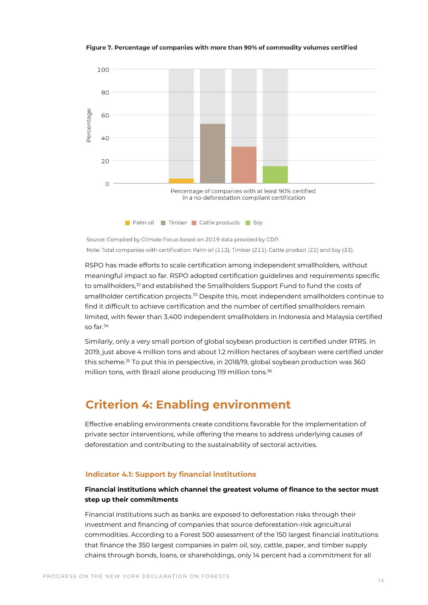#### Figure 7. Percentage of companies with more than 90% of commodity volumes certified



Source: Compiled by Climate Focus based on 2019 data provided by CDP. Note: Total companies with certification: Palm oil (112), Timber (211), Cattle product (22) and Soy (33).

RSPO has made efforts to scale certification among independent smallholders, without meaningful impact so far. RSPO adopted certification guidelines and requirements specific to smallholders,<sup>32</sup> and established the Smallholders Support Fund to fund the costs of smallholder certification projects.<sup>33</sup> Despite this, most independent smallholders continue to find it difficult to achieve certification and the number of certified smallholders remain limited, with fewer than 3,400 independent smallholders in Indonesia and Malaysia certified so far.<sup>34</sup>

Similarly, only a very small portion of global soybean production is certified under RTRS. In 2019, just above 4 million tons and about 1.2 million hectares of soybean were certified under this scheme.<sup>35</sup> To put this in perspective, in 2018/19, global soybean production was 360 million tons, with Brazil alone producing 119 million tons.<sup>36</sup>

# **Criterion 4: Enabling environment**

Effective enabling environments create conditions favorable for the implementation of private sector interventions, while offering the means to address underlying causes of deforestation and contributing to the sustainability of sectoral activities.

### **Indicator 4.1: Support by financial institutions**

# **Financial institutions which channel the greatest volume of finance to the sector must step up their commitments**

Financial institutions such as banks are exposed to deforestation risks through their investment and financing of companies that source deforestation-risk agricultural commodities. According to a Forest 500 assessment of the 150 largest financial institutions that finance the 350 largest companies in palm oil, soy, cattle, paper, and timber supply chains through bonds, loans, or shareholdings, only 14 percent had a commitment for all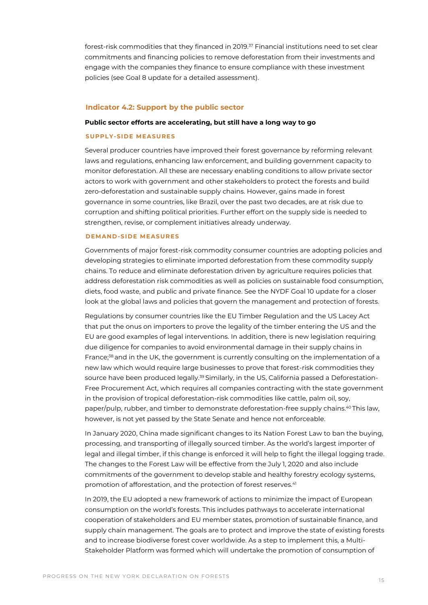forest-risk commodities that they financed in 2019.<sup>37</sup> Financial institutions need to set clear commitments and financing policies to remove deforestation from their investments and engage with the companies they finance to ensure compliance with these investment policies (see Goal 8 update for a detailed assessment).

#### **Indicator 4.2: Support by the public sector**

#### **Public sector efforts are accelerating, but still have a long way to go**

#### **SUPPLY-SIDE MEASURES**

Several producer countries have improved their forest governance by reforming relevant laws and regulations, enhancing law enforcement, and building government capacity to monitor deforestation. All these are necessary enabling conditions to allow private sector actors to work with government and other stakeholders to protect the forests and build zero-deforestation and sustainable supply chains. However, gains made in forest governance in some countries, like Brazil, over the past two decades, are at risk due to corruption and shifting political priorities. Further effort on the supply side is needed to strengthen, revise, or complement initiatives already underway.

### **DEMAND-SIDE MEASURES**

Governments of major forest-risk commodity consumer countries are adopting policies and developing strategies to eliminate imported deforestation from these commodity supply chains. To reduce and eliminate deforestation driven by agriculture requires policies that address deforestation risk commodities as well as policies on sustainable food consumption, diets, food waste, and public and private finance. See the NYDF Goal 10 update for a closer look at the global laws and policies that govern the management and protection of forests.

Regulations by consumer countries like the EU Timber Regulation and the US Lacey Act that put the onus on importers to prove the legality of the timber entering the US and the EU are good examples of legal interventions. In addition, there is new legislation requiring due diligence for companies to avoid environmental damage in their supply chains in France;<sup>38</sup> and in the UK, the government is currently consulting on the implementation of a new law which would require large businesses to prove that forest-risk commodities they source have been produced legally.<sup>39</sup> Similarly, in the US, California passed a Deforestation-Free Procurement Act, which requires all companies contracting with the state government in the provision of tropical deforestation-risk commodities like cattle, palm oil, soy, paper/pulp, rubber, and timber to demonstrate deforestation-free supply chains.<sup>40</sup> This law, however, is not yet passed by the State Senate and hence not enforceable.

In January 2020, China made significant changes to its Nation Forest Law to ban the buying, processing, and transporting of illegally sourced timber. As the world's largest importer of legal and illegal timber, if this change is enforced it will help to fight the illegal logging trade. The changes to the Forest Law will be effective from the July 1, 2020 and also include commitments of the government to develop stable and healthy forestry ecology systems, promotion of afforestation, and the protection of forest reserves.<sup>41</sup>

In 2019, the EU adopted a new framework of actions to minimize the impact of European consumption on the world's forests. This includes pathways to accelerate international cooperation of stakeholders and EU member states, promotion of sustainable finance, and supply chain management. The goals are to protect and improve the state of existing forests and to increase biodiverse forest cover worldwide. As a step to implement this, a Multi-Stakeholder Platform was formed which will undertake the promotion of consumption of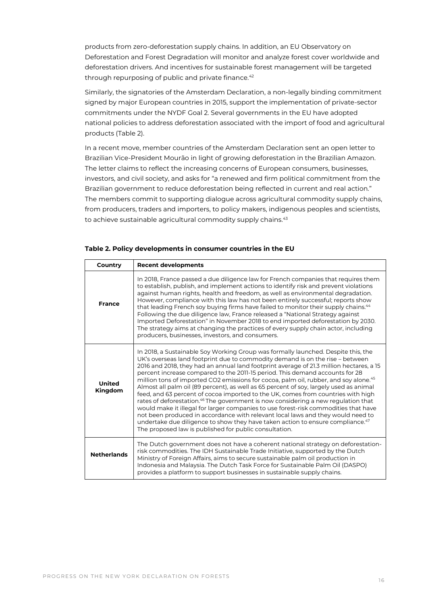products from zero-deforestation supply chains. In addition, an EU Observatory on Deforestation and Forest Degradation will monitor and analyze forest cover worldwide and deforestation drivers. And incentives for sustainable forest management will be targeted through repurposing of public and private finance.<sup>42</sup>

Similarly, the signatories of the Amsterdam Declaration, a non-legally binding commitment signed by major European countries in 2015, support the implementation of private-sector commitments under the NYDF Goal 2. Several governments in the EU have adopted national policies to address deforestation associated with the import of food and agricultural products (Table 2).

In a recent move, member countries of the Amsterdam Declaration sent an open letter to Brazilian Vice-President Mourão in light of growing deforestation in the Brazilian Amazon. The letter claims to reflect the increasing concerns of European consumers, businesses, investors, and civil society, and asks for "a renewed and firm political commitment from the Brazilian government to reduce deforestation being reflected in current and real action." The members commit to supporting dialogue across agricultural commodity supply chains, from producers, traders and importers, to policy makers, indigenous peoples and scientists, to achieve sustainable agricultural commodity supply chains.<sup>43</sup>

| Country                  | <b>Recent developments</b>                                                                                                                                                                                                                                                                                                                                                                                                                                                                                                                                                                                                                                                                                                                                                                                                                                                                                                                                                                                                                                         |
|--------------------------|--------------------------------------------------------------------------------------------------------------------------------------------------------------------------------------------------------------------------------------------------------------------------------------------------------------------------------------------------------------------------------------------------------------------------------------------------------------------------------------------------------------------------------------------------------------------------------------------------------------------------------------------------------------------------------------------------------------------------------------------------------------------------------------------------------------------------------------------------------------------------------------------------------------------------------------------------------------------------------------------------------------------------------------------------------------------|
| <b>France</b>            | In 2018, France passed a due diligence law for French companies that requires them<br>to establish, publish, and implement actions to identify risk and prevent violations<br>against human rights, health and freedom, as well as environmental degradation.<br>However, compliance with this law has not been entirely successful; reports show<br>that leading French soy buying firms have failed to monitor their supply chains. <sup>44</sup><br>Following the due diligence law, France released a "National Strategy against<br>Imported Deforestation" in November 2018 to end imported deforestation by 2030.<br>The strategy aims at changing the practices of every supply chain actor, including<br>producers, businesses, investors, and consumers.                                                                                                                                                                                                                                                                                                  |
| <b>United</b><br>Kingdom | In 2018, a Sustainable Soy Working Group was formally launched. Despite this, the<br>UK's overseas land footprint due to commodity demand is on the rise – between<br>2016 and 2018, they had an annual land footprint average of 21.3 million hectares, a 15<br>percent increase compared to the 2011-15 period. This demand accounts for 28<br>million tons of imported CO2 emissions for cocoa, palm oil, rubber, and soy alone. <sup>45</sup><br>Almost all palm oil (89 percent), as well as 65 percent of soy, largely used as animal<br>feed, and 63 percent of cocoa imported to the UK, comes from countries with high<br>rates of deforestation. <sup>46</sup> The government is now considering a new regulation that<br>would make it illegal for larger companies to use forest-risk commodities that have<br>not been produced in accordance with relevant local laws and they would need to<br>undertake due diligence to show they have taken action to ensure compliance. <sup>47</sup><br>The proposed law is published for public consultation. |
| <b>Netherlands</b>       | The Dutch government does not have a coherent national strategy on deforestation-<br>risk commodities. The IDH Sustainable Trade Initiative, supported by the Dutch<br>Ministry of Foreign Affairs, aims to secure sustainable palm oil production in<br>Indonesia and Malaysia. The Dutch Task Force for Sustainable Palm Oil (DASPO)<br>provides a platform to support businesses in sustainable supply chains.                                                                                                                                                                                                                                                                                                                                                                                                                                                                                                                                                                                                                                                  |

#### **Table 2. Policy developments in consumer countries in the EU**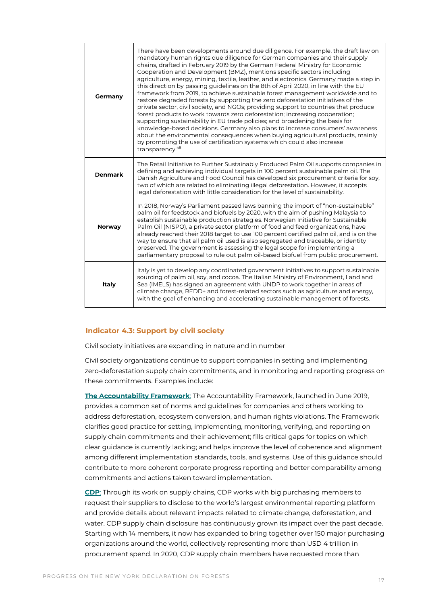| Germany        | There have been developments around due diligence. For example, the draft law on<br>mandatory human rights due diligence for German companies and their supply<br>chains, drafted in February 2019 by the German Federal Ministry for Economic<br>Cooperation and Development (BMZ), mentions specific sectors including<br>agriculture, energy, mining, textile, leather, and electronics. Germany made a step in<br>this direction by passing guidelines on the 8th of April 2020, in line with the EU<br>framework from 2019, to achieve sustainable forest management worldwide and to<br>restore degraded forests by supporting the zero deforestation initiatives of the<br>private sector, civil society, and NGOs; providing support to countries that produce<br>forest products to work towards zero deforestation; increasing cooperation;<br>supporting sustainability in EU trade policies; and broadening the basis for<br>knowledge-based decisions. Germany also plans to increase consumers' awareness<br>about the environmental consequences when buying agricultural products, mainly<br>by promoting the use of certification systems which could also increase<br>transparency. <sup>48</sup> |
|----------------|---------------------------------------------------------------------------------------------------------------------------------------------------------------------------------------------------------------------------------------------------------------------------------------------------------------------------------------------------------------------------------------------------------------------------------------------------------------------------------------------------------------------------------------------------------------------------------------------------------------------------------------------------------------------------------------------------------------------------------------------------------------------------------------------------------------------------------------------------------------------------------------------------------------------------------------------------------------------------------------------------------------------------------------------------------------------------------------------------------------------------------------------------------------------------------------------------------------------|
| <b>Denmark</b> | The Retail Initiative to Further Sustainably Produced Palm Oil supports companies in<br>defining and achieving individual targets in 100 percent sustainable palm oil. The<br>Danish Agriculture and Food Council has developed six procurement criteria for soy,<br>two of which are related to eliminating illegal deforestation. However, it accepts<br>legal deforestation with little consideration for the level of sustainability.                                                                                                                                                                                                                                                                                                                                                                                                                                                                                                                                                                                                                                                                                                                                                                           |
| <b>Norway</b>  | In 2018, Norway's Parliament passed laws banning the import of "non-sustainable"<br>palm oil for feedstock and biofuels by 2020, with the aim of pushing Malaysia to<br>establish sustainable production strategies. Norwegian Initiative for Sustainable<br>Palm Oil (NISPO), a private sector platform of food and feed organizations, have<br>already reached their 2018 target to use 100 percent certified palm oil, and is on the<br>way to ensure that all palm oil used is also segregated and traceable, or identity<br>preserved. The government is assessing the legal scope for implementing a<br>parliamentary proposal to rule out palm oil-based biofuel from public procurement.                                                                                                                                                                                                                                                                                                                                                                                                                                                                                                                    |
| Italy          | Italy is yet to develop any coordinated government initiatives to support sustainable<br>sourcing of palm oil, soy, and cocoa. The Italian Ministry of Environment, Land and<br>Sea (IMELS) has signed an agreement with UNDP to work together in areas of<br>climate change, REDD+ and forest-related sectors such as agriculture and energy,<br>with the goal of enhancing and accelerating sustainable management of forests.                                                                                                                                                                                                                                                                                                                                                                                                                                                                                                                                                                                                                                                                                                                                                                                    |

# **Indicator 4.3: Support by civil society**

Civil society initiatives are expanding in nature and in number

Civil society organizations continue to support companies in setting and implementing zero-deforestation supply chain commitments, and in monitoring and reporting progress on these commitments. Examples include:

**[The Accountability Framework](https://accountability-framework.org/)**: The Accountability Framework, launched in June 2019, provides a common set of norms and guidelines for companies and others working to address deforestation, ecosystem conversion, and human rights violations. The Framework clarifies good practice for setting, implementing, monitoring, verifying, and reporting on supply chain commitments and their achievement; fills critical gaps for topics on which clear guidance is currently lacking; and helps improve the level of coherence and alignment among different implementation standards, tools, and systems. Use of this guidance should contribute to more coherent corporate progress reporting and better comparability among commitments and actions taken toward implementation.

**[CDP](https://www.cdp.net/en)**: Through its work on supply chains, CDP works with big purchasing members to request their suppliers to disclose to the world's largest environmental reporting platform and provide details about relevant impacts related to climate change, deforestation, and water. CDP supply chain disclosure has continuously grown its impact over the past decade. Starting with 14 members, it now has expanded to bring together over 150 major purchasing organizations around the world, collectively representing more than USD 4 trillion in procurement spend. In 2020, CDP supply chain members have requested more than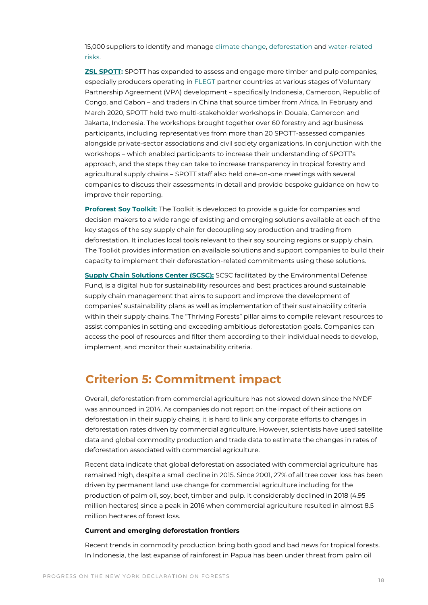15,000 suppliers to identify and manag[e climate change,](https://www.cdp.net/en/climate) [deforestation](https://www.cdp.net/en/forests) and [water-related](https://www.cdp.net/en/water)  [risks.](https://www.cdp.net/en/water) 

**[ZSL SPOTT:](https://www.spott.org/)** SPOTT has expanded to assess and engage more timber and pulp companies, especially producers operating i[n FLEGT](http://www.euflegt.efi.int/what-is-flegt) partner countries at various stages of Voluntary Partnership Agreement (VPA) development – specifically Indonesia, Cameroon, Republic of Congo, and Gabon – and traders in China that source timber from Africa. In February and March 2020, SPOTT held two multi-stakeholder workshops in Douala, Cameroon and Jakarta, Indonesia. The workshops brought together over 60 forestry and agribusiness participants, including representatives from more than 20 SPOTT-assessed companies alongside private-sector associations and civil society organizations. In conjunction with the workshops – which enabled participants to increase their understanding of SPOTT's approach, and the steps they can take to increase transparency in tropical forestry and agricultural supply chains – SPOTT staff also held one-on-one meetings with several companies to discuss their assessments in detail and provide bespoke guidance on how to improve their reporting.

**[Proforest Soy Toolkit](https://www.soytoolkit.net/embedded-soy-supply-chain)**: The Toolkit is developed to provide a guide for companies and decision makers to a wide range of existing and emerging solutions available at each of the key stages of the soy supply chain for decoupling soy production and trading from deforestation. It includes local tools relevant to their soy sourcing regions or supply chain. The Toolkit provides information on available solutions and support companies to build their capacity to implement their deforestation-related commitments using these solutions.

**[Supply Chain Solutions Center \(SCSC\):](https://supplychain.edf.org/category/thriving-forests/)** SCSC facilitated by the Environmental Defense Fund, is a digital hub for sustainability resources and best practices around sustainable supply chain management that aims to support and improve the development of companies' sustainability plans as well as implementation of their sustainability criteria within their supply chains. The "Thriving Forests" pillar aims to compile relevant resources to assist companies in setting and exceeding ambitious deforestation goals. Companies can access the pool of resources and filter them according to their individual needs to develop, implement, and monitor their sustainability criteria.

# **Criterion 5: Commitment impact**

Overall, deforestation from commercial agriculture has not slowed down since the NYDF was announced in 2014. As companies do not report on the impact of their actions on deforestation in their supply chains, it is hard to link any corporate efforts to changes in deforestation rates driven by commercial agriculture. However, scientists have used satellite data and global commodity production and trade data to estimate the changes in rates of deforestation associated with commercial agriculture.

Recent data indicate that global deforestation associated with commercial agriculture has remained high, despite a small decline in 2015. Since 2001, 27% of all tree cover loss has been driven by permanent land use change for commercial agriculture including for the production of palm oil, soy, beef, timber and pulp. It considerably declined in 2018 (4.95 million hectares) since a peak in 2016 when commercial agriculture resulted in almost 8.5 million hectares of forest loss.

#### **Current and emerging deforestation frontiers**

Recent trends in commodity production bring both good and bad news for tropical forests. In Indonesia, the last expanse of rainforest in Papua has been under threat from palm oil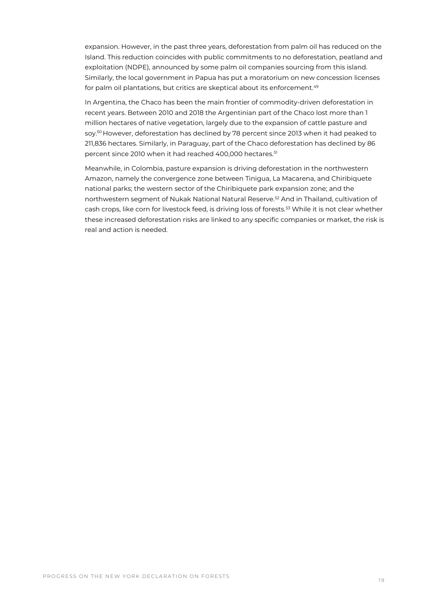expansion. However, in the past three years, deforestation from palm oil has reduced on the Island. This reduction coincides with public commitments to no deforestation, peatland and exploitation (NDPE), announced by some palm oil companies sourcing from this island. Similarly, the local government in Papua has put a moratorium on new concession licenses for palm oil plantations, but critics are skeptical about its enforcement.<sup>49</sup>

In Argentina, the Chaco has been the main frontier of commodity-driven deforestation in recent years. Between 2010 and 2018 the Argentinian part of the Chaco lost more than 1 million hectares of native vegetation, largely due to the expansion of cattle pasture and soy.<sup>50</sup> However, deforestation has declined by 78 percent since 2013 when it had peaked to 211,836 hectares. Similarly, in Paraguay, part of the Chaco deforestation has declined by 86 percent since 2010 when it had reached 400,000 hectares.<sup>51</sup>

Meanwhile, in Colombia, pasture expansion is driving deforestation in the northwestern Amazon, namely the convergence zone between Tinigua, La Macarena, and Chiribiquete national parks; the western sector of the Chiribiquete park expansion zone; and the northwestern segment of Nukak National Natural Reserve.<sup>52</sup> And in Thailand, cultivation of cash crops, like corn for livestock feed, is driving loss of forests.<sup>53</sup> While it is not clear whether these increased deforestation risks are linked to any specific companies or market, the risk is real and action is needed.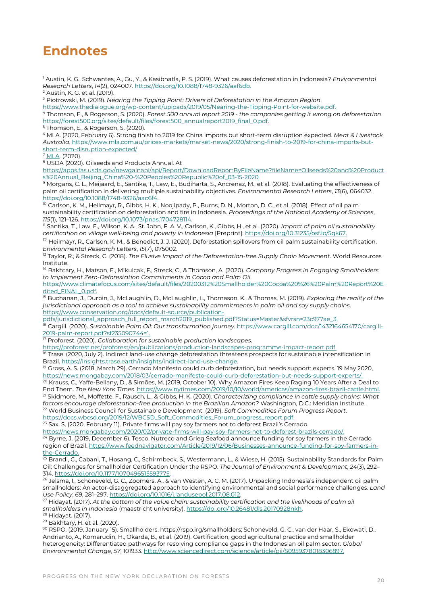# **Endnotes**

<sup>1</sup> Austin, K. G., Schwantes, A., Gu, Y., & Kasibhatla, P. S. (2019). What causes deforestation in Indonesia? *Environmental Research Letters*, *14*(2), 024007. https://doi.org/10.1088/1748-9326/aaf6db.

<sup>2</sup> Austin, K. G. et al. (2019).

<sup>3</sup> Piotrowski, M. (2019). *Nearing the Tipping Point: Drivers of Deforestation in the Amazon Region*.

https://www.thedialogue.org/wp-content/uploads/2019/05/Nearing-the-Tipping-Point-for-website.pdf.

<sup>4</sup> Thomson, E., & Rogerson, S. (2020). *Forest 500 annual report 2019 - the companies getting it wrong on deforestation*. https://forest500.org/sites/default/files/forest500\_annualreport2019\_final\_0.pdf.

5 Thomson, E., & Rogerson, S. (2020).

<sup>6</sup> MLA. (2020, February 6). Strong finish to 2019 for China imports but short-term disruption expected. *Meat & Livestock Australia*. [https://www.mla.com.au/prices-markets/market-news/2020/strong-finish-to-2019-for-china-imports-but](https://www.mla.com.au/prices-markets/market-news/2020/strong-finish-to-2019-for-china-imports-but-short-term-disruption-expected/)[short-term-disruption-expected/](https://www.mla.com.au/prices-markets/market-news/2020/strong-finish-to-2019-for-china-imports-but-short-term-disruption-expected/)

 $\frac{7 \text{ MLA}}{2020}$ .

 $8\overline{\text{USDA}}$  (2020). Oilseeds and Products Annual. At

[https://apps.fas.usda.gov/newgainapi/api/Report/DownloadReportByFileName?fileName=Oilseeds%20and%20Product](https://apps.fas.usda.gov/newgainapi/api/Report/DownloadReportByFileName?fileName=Oilseeds%20and%20Products%20Annual_Beijing_China%20-%20Peoples%20Republic%20of_03-15-2020) [s%20Annual\\_Beijing\\_China%20-%20Peoples%20Republic%20of\\_03-15-2020](https://apps.fas.usda.gov/newgainapi/api/Report/DownloadReportByFileName?fileName=Oilseeds%20and%20Products%20Annual_Beijing_China%20-%20Peoples%20Republic%20of_03-15-2020)

9 Morgans, C. L., Meijaard, E., Santika, T., Law, E., Budiharta, S., Ancrenaz, M., et al. (2018). Evaluating the effectiveness of palm oil certification in delivering multiple sustainability objectives. *Environmental Research Letters*, *13*(6), 064032. https://doi.org/10.1088/1748-9326/aac6f4.

<sup>10</sup> Carlson, K. M., Heilmayr, R., Gibbs, H. K., Noojipady, P., Burns, D. N., Morton, D. C., et al. (2018). Effect of oil palm sustainability certification on deforestation and fire in Indonesia. *Proceedings of the National Academy of Sciences*, *115*(1), 121–126. https://doi.org/10.1073/pnas.1704728114.

<sup>11</sup> Santika, T., Law, E., Wilson, K. A., St. John, F. A. V., Carlson, K., Gibbs, H., et al. (2020). *Impact of palm oil sustainability certification on village well-being and poverty in Indonesia* [Preprint]. https://doi.org/10.31235/osf.io/5qk67.

<sup>12</sup> Heilmayr, R., Carlson, K. M., & Benedict, J. J. (2020). Deforestation spillovers from oil palm sustainability certification. *Environmental Research Letters*, *15*(7), 075002.

<sup>13</sup> Taylor, R., & Streck, C. (2018). *The Elusive Impact of the Deforestation-free Supply Chain Movement*. World Resources Institute.

<sup>14</sup> Bakhtary, H., Matson, E., Mikulcak, F., Streck, C., & Thomson, A. (2020). *Company Progress in Engaging Smallholders to Implement Zero-Deforestation Commitments in Cocoa and Palm Oil*. https://www.climatefocus.com/sites/default/files/20200312%20Smallholder%20Cocoa%20%26%20Palm%20Report%20E

dited\_FINAL\_0.pdf. <sup>15</sup> Buchanan, J., Durbin, J., McLaughlin, D., McLaughlin, L., Thomason, K., & Thomas, M. (2019). *Exploring the reality of the jurisdictional approach as a tool to achieve sustainability commitments in palm oil and soy supply chains*. https://www.conservation.org/docs/default-source/publication-

pdfs/jurisdictional\_approach\_full\_report\_march2019\_published.pdf?Status=Master&sfvrsn=23c977ae\_3.

<sup>16</sup> Cargill. (2020). *Sustainable Palm Oil: Our transformation journey*. https://www.cargill.com/doc/1432164654170/cargill-2019-palm-report.pdf?sf235090744=1.

<sup>17</sup> Proforest. (2020). *Collaboration for sustainable production landscapes*.

https://proforest.net/proforest/en/publications/production-landscapes-programme-impact-report.pdf.<br><sup>18</sup> Trace (2020, 1:1t:2), ta diversity of the diversions of production-landscapes-programme-impact-report.pdf.

<sup>8</sup> Trase. (2020, July 2). Indirect land-use change deforestation threatens prospects for sustainable intensification in Brazil. https://insights.trase.earth/insights/indirect-land-use-change.

<sup>19</sup> Gross, A. S. (2018, March 29). Cerrado Manifesto could curb deforestation, but needs support: experts. 19 May 2020, https://news.mongabay.com/2018/03/cerrado-manifesto-could-curb-deforestation-but-needs-support-experts/.

<sup>20</sup> Krauss, C., Yaffe-Bellany, D., & Simões, M. (2019, October 10). Why Amazon Fires Keep Raging 10 Years After a Deal to End Them. *The New York Times*. https://www.nytimes.com/2019/10/10/world/americas/amazon-fires-brazil-cattle.html. <sup>21</sup> Skidmore, M., Moffette, F., Rausch, L., & Gibbs, H. K. (2020). *Characterizing compliance in cattle supply chains: What factors encourage deforestation-free production in the Brazilian Amazon?* Washington, D.C.: Meridian Institute. <sup>22</sup> World Business Council for Sustainable Development. (2019). *Soft Commodities Forum Progress Report*. https://docs.wbcsd.org/2019/12/WBCSD\_Soft\_Commodities\_Forum\_progress\_report.pdf.

23 Sax, S. (2020, February 11). Private firms will pay soy farmers not to deforest Brazil's Cerrado.

https://news.mongabay.com/2020/02/private-firms-will-pay-soy-farmers-not-to-deforest-brazils-cerrado/.

24 Byrne, J. (2019, December 6). Tesco, Nutreco and Grieg Seafood announce funding for soy farmers in the Cerrado region of Brazil. https://www.feednavigator.com/Article/2019/12/06/Businesses-announce-funding-for-soy-farmers-inthe-Cerrado.

<sup>25</sup> Brandi, C., Cabani, T., Hosang, C., Schirmbeck, S., Westermann, L., & Wiese, H. (2015). Sustainability Standards for Palm Oil: Challenges for Smallholder Certification Under the RSPO. *The Journal of Environment & Development*, *24*(3), 292– 314. https://doi.org/10.1177/1070496515593775.

<sup>26</sup> Jelsma, I., Schoneveld, G. C., Zoomers, A., & van Westen, A. C. M. (2017). Unpacking Indonesia's independent oil palm smallholders: An actor-disaggregated approach to identifying environmental and social performance challenges. *Land Use Policy*, *69*, 281–297. https://doi.org/10.1016/j.landusepol.2017.08.012.

<sup>27</sup> Hidayat. (2017). *At the bottom of the value chain: sustainability certification and the livelihoods of palm oil smallholders in Indonesia* (maastricht university). https://doi.org/10.26481/dis.20170928nkh.

<sup>28</sup> Hidayat. (2017).

<sup>29</sup> Bakhtary, H. et al. (2020).

<sup>30</sup> RSPO. (2019, January 15). Smallholders. https://rspo.irg/smallholders; Schoneveld, G. C., van der Haar, S., Ekowati, D., Andrianto, A., Komarudin, H., Okarda, B., et al. (2019). Certification, good agricultural practice and smallholder heterogeneity: Differentiated pathways for resolving compliance gaps in the Indonesian oil palm sector. *Global Environmental Change*, *57*, 101933. http://www.sciencedirect.com/science/article/pii/S0959378018306897.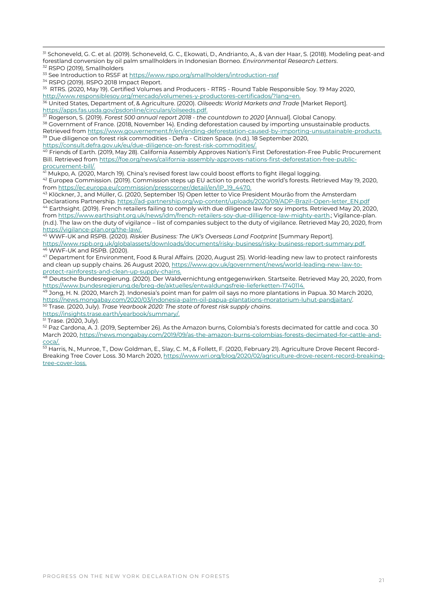31 Schoneveld, G. C. et al. (2019). Schoneveld, G. C., Ekowati, D., Andrianto, A., & van der Haar, S. (2018). Modeling peat-and forestland conversion by oil palm smallholders in Indonesian Borneo. *Environmental Research Letters*. <sup>32</sup> RSPO (2019), Smallholders

<sup>33</sup> See Introduction to RSSF a[t https://www.rspo.org/smallholders/introduction-rssf](https://www.rspo.org/smallholders/introduction-rssf)

<sup>34</sup> RSPO (2019). RSPO 2018 Impact Report.

 $^{35}\,$  RTRS. (2020, May 19). Certified Volumes and Producers - RTRS - Round Table Responsible Soy. 19 May 2020, http://www.responsiblesoy.org/mercado/volumenes-y-productores-certificados/?lang=en.

<sup>36</sup> United States, Department of, & Agriculture. (2020). *Oilseeds: World Markets and Trade* [Market Report]. https://apps.fas.usda.gov/psdonline/circulars/oilseeds.pdf.

<sup>37</sup> Rogerson, S. (2019). *Forest 500 annual report 2018 - the countdown to 2020* [Annual]. Global Canopy.

<sup>38</sup> Government of France. (2018, November 14). Ending deforestation caused by importing unsustainable products. Retrieved from https://www.gouvernement.fr/en/ending-deforestation-caused-by-importing-unsustainable-products. <sup>39</sup> Due diligence on forest risk commodities - Defra - Citizen Space. (n.d.). 18 September 2020,

https://consult.defra.gov.uk/eu/due-diligence-on-forest-risk-commodities/.

<sup>40</sup> Friends of Earth. (2019, May 28). California Assembly Approves Nation's First Deforestation-Free Public Procurement Bill. Retrieved from https://foe.org/news/california-assembly-approves-nations-first-deforestation-free-publicprocurement-bill/.

<sup>41</sup> Mukpo, A. (2020, March 19). China's revised forest law could boost efforts to fight illegal logging. <sup>42</sup> Europea Commission. (2019). Commission steps up EU action to protect the world's forests. Retrieved May 19, 2020, from https://ec.europa.eu/commission/presscorner/detail/en/IP\_19\_4470.

<sup>43</sup> Klöckner, J., and Müller, G. (2020, September 15) Open letter to Vice President Mourão from the Amsterdam Declarations Partnership. https://ad-partnership.org/wp-content/uploads/2020/09/ADP-Brazil-Open-letter\_EN.pdf <sup>44</sup> Earthsight. (2019). French retailers failing to comply with due diligence law for soy imports. Retrieved May 20, 2020, fro[m https://www.earthsight.org.uk/news/idm/french-retailers-soy-due-dilligence-law-mighty-earth.;](https://www.earthsight.org.uk/news/idm/french-retailers-soy-due-dilligence-law-mighty-earth) Vigilance-plan. (n.d.). The law on the duty of vigilance – list of companies subject to the duty of vigilance. Retrieved May 20, 2020, from https://vigilance-plan.org/the-law/.

<sup>45</sup> WWF-UK and RSPB. (2020). *Riskier Business: The UK's Overseas Land Footprint* [Summary Report]. https://www.rspb.org.uk/globalassets/downloads/documents/risky-business/risky-business-report-summary.pdf. <sup>46</sup> WWF-UK and RSPB. (2020).

<sup>47</sup> Department for Environment, Food & Rural Affairs. (2020, August 25). World-leading new law to protect rainforests and clean up supply chains. 26 August 2020, https://www.gov.uk/government/news/world-leading-new-law-toprotect-rainforests-and-clean-up-supply-chains.

<sup>48</sup> Deutsche Bundesregierung. (2020). Der Waldvernichtung entgegenwirken. Startseite. Retrieved May 20, 2020, from https://www.bundesregierung.de/breg-de/aktuelles/entwaldungsfreie-lieferketten-1740114.

<sup>49</sup> Jong, H. N. (2020, March 2). Indonesia's point man for palm oil says no more plantations in Papua. 30 March 2020, https://news.mongabay.com/2020/03/indonesia-palm-oil-papua-plantations-moratorium-luhut-pandjaitan/. <sup>50</sup> Trase. (2020, July). *Trase Yearbook 2020: The state of forest risk supply chains*.

https://insights.trase.earth/yearbook/summary/.

<sup>51</sup> Trase. (2020, July).

52 Paz Cardona, A. J. (2019, September 26). As the Amazon burns, Colombia's forests decimated for cattle and coca. 30 March 2020, https://news.mongabay.com/2019/09/as-the-amazon-burns-colombias-forests-decimated-for-cattle-andcoca/.

53 Harris, N., Munroe, T., Dow Goldman, E., Slay, C. M., & Follett, F. (2020, February 21). Agriculture Drove Recent Record-Breaking Tree Cover Loss. 30 March 2020, https://www.wri.org/blog/2020/02/agriculture-drove-recent-record-breakingtree-cover-loss.